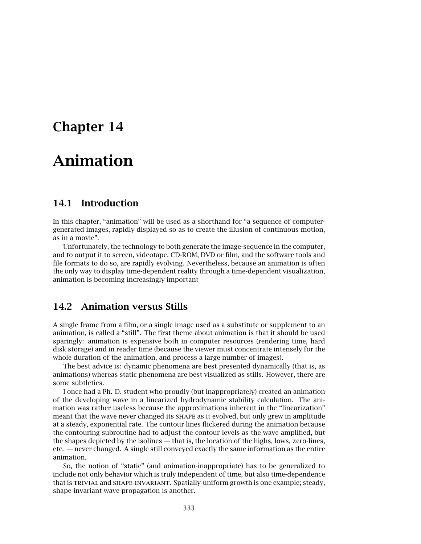# **Chapter 14**

# **Animation**

### **14.1 Introduction**

In this chapter, "animation" will be used as a shorthand for "a sequence of computergenerated images, rapidly displayed so as to create the illusion of continuous motion, as in a movie".

Unfortunately, the technology to both generate the image-sequence in the computer, and to output it to screen, videotape, CD-ROM, DVD or film, and the software tools and file formats to do so, are rapidly evolving. Nevertheless, because an animation is often the only way to display time-dependent reality through a time-dependent visualization, animation is becoming increasingly important

### **14.2 Animation versus Stills**

A single frame from a film, or a single image used as a substitute or supplement to an animation, is called a "still". The first theme about animation is that it should be used sparingly: animation is expensive both in computer resources (rendering time, hard disk storage) and in reader time (because the viewer must concentrate intensely for the whole duration of the animation, and process a large number of images).

The best advice is: dynamic phenomena are best presented dynamically (that is, as animations) whereas static phenomena are best visualized as stills. However, there are some subtleties.

I once had a Ph. D. student who proudly (but inappropriately) created an animation of the developing wave in a linearized hydrodynamic stability calculation. The animation was rather useless because the approximations inherent in the "linearization" meant that the wave never changed its shape as it evolved, but only grew in amplitude at a steady, exponential rate. The contour lines flickered during the animation because the contouring subroutine had to adjust the contour levels as the wave amplified, but the shapes depicted by the isolines — that is, the location of the highs, lows, zero-lines, etc. — never changed. A single still conveyed exactly the same information as the entire animation.

So, the notion of "static" (and animation-inappropriate) has to be generalized to include not only behavior which is truly independent of time, but also time-dependence that is trivial and shape-invariant. Spatially-uniform growth is one example; steady, shape-invariant wave propagation is another.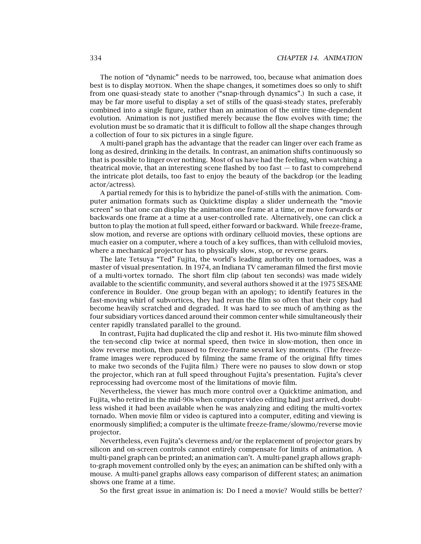The notion of "dynamic" needs to be narrowed, too, because what animation does best is to display MOTION. When the shape changes, it sometimes does so only to shift from one quasi-steady state to another ("snap-through dynamics".) In such a case, it may be far more useful to display a set of stills of the quasi-steady states, preferably combined into a single figure, rather than an animation of the entire time-dependent evolution. Animation is not justified merely because the flow evolves with time; the evolution must be so dramatic that it is difficult to follow all the shape changes through a collection of four to six pictures in a single figure.

A multi-panel graph has the advantage that the reader can linger over each frame as long as desired, drinking in the details. In contrast, an animation shifts continuously so that is possible to linger over nothing. Most of us have had the feeling, when watching a theatrical movie, that an interesting scene flashed by too fast  $-$  to fast to comprehend the intricate plot details, too fast to enjoy the beauty of the backdrop (or the leading actor/actress).

A partial remedy for this is to hybridize the panel-of-stills with the animation. Computer animation formats such as Quicktime display a slider underneath the "movie screen" so that one can display the animation one frame at a time, or move forwards or backwards one frame at a time at a user-controlled rate. Alternatively, one can click a button to play the motion at full speed, either forward or backward. While freeze-frame, slow motion, and reverse are options with ordinary celluoid movies, these options are much easier on a computer, where a touch of a key suffices, than with celluloid movies, where a mechanical projector has to physically slow, stop, or reverse gears.

The late Tetsuya "Ted" Fujita, the world's leading authority on tornadoes, was a master of visual presentation. In 1974, an Indiana TV cameraman filmed the first movie of a multi-vortex tornado. The short film clip (about ten seconds) was made widely available to the scientific community, and several authors showed it at the 1975 SESAME conference in Boulder. One group began with an apology; to identify features in the fast-moving whirl of subvortices, they had rerun the film so often that their copy had become heavily scratched and degraded. It was hard to see much of anything as the four subsidiary vortices danced around their common center while simultaneously their center rapidly translated parallel to the ground.

In contrast, Fujita had duplicated the clip and reshot it. His two-minute film showed the ten-second clip twice at normal speed, then twice in slow-motion, then once in slow reverse motion, then paused to freeze-frame several key moments. (The freezeframe images were reproduced by filming the same frame of the original fifty times to make two seconds of the Fujita film.) There were no pauses to slow down or stop the projector, which ran at full speed throughout Fujita's presentation. Fujita's clever reprocessing had overcome most of the limitations of movie film.

Nevertheless, the viewer has much more control over a Quicktime animation, and Fujita, who retired in the mid-90s when computer video editing had just arrived, doubtless wished it had been available when he was analyzing and editing the multi-vortex tornado. When movie film or video is captured into a computer, editing and viewing is enormously simplified; a computer is the ultimate freeze-frame/slowmo/reverse movie projector.

Nevertheless, even Fujita's cleverness and/or the replacement of projector gears by silicon and on-screen controls cannot entirely compensate for limits of animation. A multi-panel graph can be printed; an animation can't. A multi-panel graph allows graphto-graph movement controlled only by the eyes; an animation can be shifted only with a mouse. A multi-panel graphs allows easy comparison of different states; an animation shows one frame at a time.

So the first great issue in animation is: Do I need a movie? Would stills be better?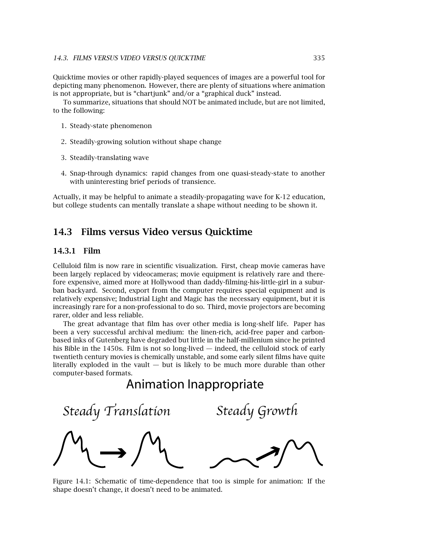Quicktime movies or other rapidly-played sequences of images are a powerful tool for depicting many phenomenon. However, there are plenty of situations where animation is not appropriate, but is "chartjunk" and/or a "graphical duck" instead.

To summarize, situations that should NOT be animated include, but are not limited, to the following:

- 1. Steady-state phenomenon
- 2. Steadily-growing solution without shape change
- 3. Steadily-translating wave
- 4. Snap-through dynamics: rapid changes from one quasi-steady-state to another with uninteresting brief periods of transience.

Actually, it may be helpful to animate a steadily-propagating wave for K-12 education, but college students can mentally translate a shape without needing to be shown it.

#### **14.3 Films versus Video versus Quicktime**

#### **14.3.1 Film**

Celluloid film is now rare in scientific visualization. First, cheap movie cameras have been largely replaced by videocameras; movie equipment is relatively rare and therefore expensive, aimed more at Hollywood than daddy-filming-his-little-girl in a suburban backyard. Second, export from the computer requires special equipment and is relatively expensive; Industrial Light and Magic has the necessary equipment, but it is increasingly rare for a non-professional to do so. Third, movie projectors are becoming rarer, older and less reliable.

The great advantage that film has over other media is long-shelf life. Paper has been a very successful archival medium: the linen-rich, acid-free paper and carbonbased inks of Gutenberg have degraded but little in the half-millenium since he printed his Bible in the 1450s. Film is not so long-lived — indeed, the celluloid stock of early twentieth century movies is chemically unstable, and some early silent films have quite literally exploded in the vault  $-$  but is likely to be much more durable than other computer-based formats.

## Animation Inappropriate

Steady Translation Steady Growth

Figure 14.1: Schematic of time-dependence that too is simple for animation: If the shape doesn't change, it doesn't need to be animated.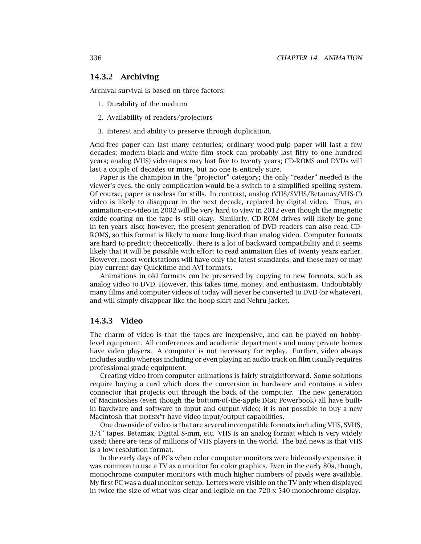#### **14.3.2 Archiving**

Archival survival is based on three factors:

- 1. Durability of the medium
- 2. Availability of readers/projectors
- 3. Interest and ability to preserve through duplication.

Acid-free paper can last many centuries; ordinary wood-pulp paper will last a few decades; modern black-and-white film stock can probably last fifty to one hundred years; analog (VHS) videotapes may last five to twenty years; CD-ROMS and DVDs will last a couple of decades or more, but no one is entirely sure.

Paper is the champion in the "projector" category; the only "reader" needed is the viewer's eyes, the only complication would be a switch to a simplified spelling system. Of course, paper is useless for stills. In contrast, analog (VHS/SVHS/Betamax/VHS-C) video is likely to disappear in the next decade, replaced by digital video. Thus, an animation-on-video in 2002 will be very hard to view in 2012 even though the magnetic oxide coating on the tape is still okay. Similarly, CD-ROM drives will likely be gone in ten years also; however, the present generation of DVD readers can also read CD-ROMS, so this format is likely to more long-lived than analog video. Computer formats are hard to predict; theoretically, there is a lot of backward compatibility and it seems likely that it will be possible with effort to read animation files of twenty years earlier. However, most workstations will have only the latest standards, and these may or may play current-day Quicktime and AVI formats.

Animations in old formats can be preserved by copying to new formats, such as analog video to DVD. However, this takes time, money, and enthusiasm. Undoubtably many films and computer videos of today will never be converted to DVD (or whatever), and will simply disappear like the hoop skirt and Nehru jacket.

#### **14.3.3 Video**

The charm of video is that the tapes are inexpensive, and can be played on hobbylevel equipment. All conferences and academic departments and many private homes have video players. A computer is not necessary for replay. Further, video always includes audio whereas including or even playing an audio track on film usually requires professional-grade equipment.

Creating video from computer animations is fairly straightforward. Some solutions require buying a card which does the conversion in hardware and contains a video connector that projects out through the back of the computer. The new generation of Macintoshes (even though the bottom-of-the-apple iMac Powerbook) all have builtin hardware and software to input and output video; it is not possible to buy a new Macintosh that DOESN'T have video input/output capabilities.

One downside of video is that are several incompatible formats including VHS, SVHS, 3/4" tapes, Betamax, Digital 8-mm, etc. VHS is an analog format which is very widely used; there are tens of millions of VHS players in the world. The bad news is that VHS is a low resolution format.

In the early days of PCs when color computer monitors were hideously expensive, it was common to use a TV as a monitor for color graphics. Even in the early 80s, though, monochrome computer monitors with much higher numbers of pixels were available. My first PC was a dual monitor setup. Letters were visible on the TV only when displayed in twice the size of what was clear and legible on the 720 x 540 monochrome display.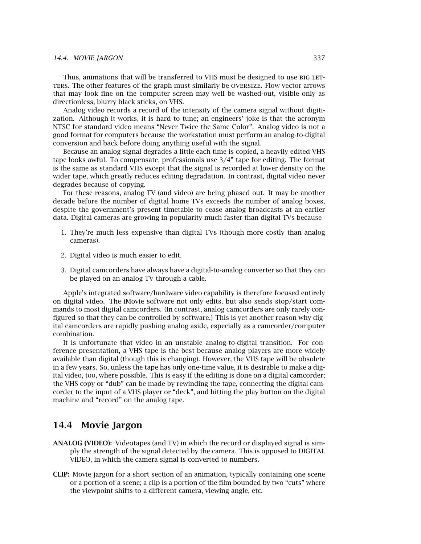#### *14.4. MOVIE JARGON* 337

Thus, animations that will be transferred to VHS must be designed to use BIG LETters. The other features of the graph must similarly be oversize. Flow vector arrows that may look fine on the computer screen may well be washed-out, visible only as directionless, blurry black sticks, on VHS.

Analog video records a record of the intensity of the camera signal without digitization. Although it works, it is hard to tune; an engineers' joke is that the acronym NTSC for standard video means "Never Twice the Same Color". Analog video is not a good format for computers because the workstation must perform an analog-to-digital conversion and back before doing anything useful with the signal.

Because an analog signal degrades a little each time is copied, a heavily edited VHS tape looks awful. To compensate, professionals use 3/4" tape for editing. The format is the same as standard VHS except that the signal is recorded at lower density on the wider tape, which greatly reduces editing degradation. In contrast, digital video never degrades because of copying.

For these reasons, analog TV (and video) are being phased out. It may be another decade before the number of digital home TVs exceeds the number of analog boxes, despite the government's present timetable to cease analog broadcasts at an earlier data. Digital cameras are growing in popularity much faster than digital TVs because

- 1. They're much less expensive than digital TVs (though more costly than analog cameras).
- 2. Digital video is much easier to edit.
- 3. Digital camcorders have always have a digital-to-analog converter so that they can be played on an analog TV through a cable.

Apple's integrated software/hardware video capability is therefore focused entirely on digital video. The iMovie software not only edits, but also sends stop/start commands to most digital camcorders. (In contrast, analog camcorders are only rarely configured so that they can be controlled by software.) This is yet another reason why digital camcorders are rapidly pushing analog aside, especially as a camcorder/computer combination.

It is unfortunate that video in an unstable analog-to-digital transition. For conference presentation, a VHS tape is the best because analog players are more widely available than digital (though this is changing). However, the VHS tape will be obsolete in a few years. So, unless the tape has only one-time value, it is desirable to make a digital video, too, where possible. This is easy if the editing is done on a digital camcorder; the VHS copy or "dub" can be made by rewinding the tape, connecting the digital camcorder to the input of a VHS player or "deck", and hitting the play button on the digital machine and "record" on the analog tape.

#### **14.4 Movie Jargon**

- **ANALOG (VIDEO):** Videotapes (and TV) in which the record or displayed signal is simply the strength of the signal detected by the camera. This is opposed to DIGITAL VIDEO, in which the camera signal is converted to numbers.
- **CLIP:** Movie jargon for a short section of an animation, typically containing one scene or a portion of a scene; a clip is a portion of the film bounded by two "cuts" where the viewpoint shifts to a different camera, viewing angle, etc.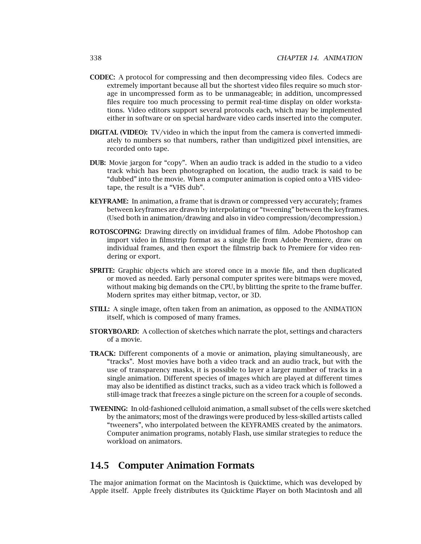- **CODEC:** A protocol for compressing and then decompressing video files. Codecs are extremely important because all but the shortest video files require so much storage in uncompressed form as to be unmanageable; in addition, uncompressed files require too much processing to permit real-time display on older workstations. Video editors support several protocols each, which may be implemented either in software or on special hardware video cards inserted into the computer.
- **DIGITAL (VIDEO):** TV/video in which the input from the camera is converted immediately to numbers so that numbers, rather than undigitized pixel intensities, are recorded onto tape.
- **DUB:** Movie jargon for "copy". When an audio track is added in the studio to a video track which has been photographed on location, the audio track is said to be "dubbed" into the movie. When a computer animation is copied onto a VHS videotape, the result is a "VHS dub".
- **KEYFRAME:** In animation, a frame that is drawn or compressed very accurately; frames between keyframes are drawn by interpolating or "tweening" between the keyframes. (Used both in animation/drawing and also in video compression/decompression.)
- **ROTOSCOPING:** Drawing directly on invididual frames of film. Adobe Photoshop can import video in filmstrip format as a single file from Adobe Premiere, draw on individual frames, and then export the filmstrip back to Premiere for video rendering or export.
- **SPRITE:** Graphic objects which are stored once in a movie file, and then duplicated or moved as needed. Early personal computer sprites were bitmaps were moved, without making big demands on the CPU, by blitting the sprite to the frame buffer. Modern sprites may either bitmap, vector, or 3D.
- **STILL:** A single image, often taken from an animation, as opposed to the ANIMATION itself, which is composed of many frames.
- **STORYBOARD:** A collection of sketches which narrate the plot, settings and characters of a movie.
- **TRACK:** Different components of a movie or animation, playing simultaneously, are "tracks". Most movies have both a video track and an audio track, but with the use of transparency masks, it is possible to layer a larger number of tracks in a single animation. Different species of images which are played at different times may also be identified as distinct tracks, such as a video track which is followed a still-image track that freezes a single picture on the screen for a couple of seconds.
- **TWEENING:** In old-fashioned celluloid animation, a small subset of the cells were sketched by the animators; most of the drawings were produced by less-skilled artists called "tweeners", who interpolated between the KEYFRAMES created by the animators. Computer animation programs, notably Flash, use similar strategies to reduce the workload on animators.

#### **14.5 Computer Animation Formats**

The major animation format on the Macintosh is Quicktime, which was developed by Apple itself. Apple freely distributes its Quicktime Player on both Macintosh and all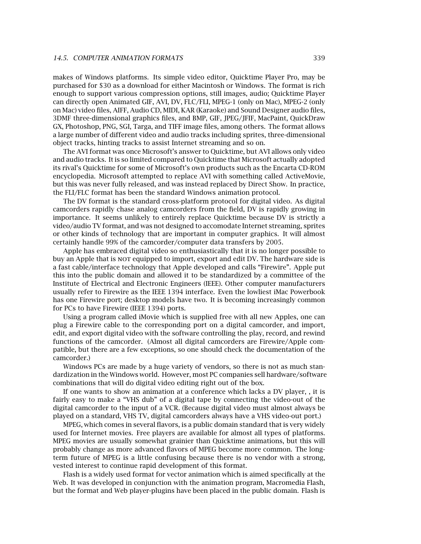makes of Windows platforms. Its simple video editor, Quicktime Player Pro, may be purchased for \$30 as a download for either Macintosh or Windows. The format is rich enough to support various compression options, still images, audio; Quicktime Player can directly open Animated GIF, AVI, DV, FLC/FLI, MPEG-1 (only on Mac), MPEG-2 (only on Mac) video files, AIFF, Audio CD, MIDI, KAR (Karaoke) and Sound Designer audio files, 3DMF three-dimensional graphics files, and BMP, GIF, JPEG/JFIF, MacPaint, QuickDraw GX, Photoshop, PNG, SGI, Targa, and TIFF image files, among others. The format allows a large number of different video and audio tracks including sprites, three-dimensional object tracks, hinting tracks to assist Internet streaming and so on.

The AVI format was once Microsoft's answer to Quicktime, but AVI allows only video and audio tracks. It is so limited compared to Quicktime that Microsoft actually adopted its rival's Quicktime for some of Microsoft's own products such as the Encarta CD-ROM encyclopedia. Microsoft attempted to replace AVI with something called ActiveMovie, but this was never fully released, and was instead replaced by Direct Show. In practice, the FLI/FLC format has been the standard Windows animation protocol.

The DV format is the standard cross-platform protocol for digital video. As digital camcorders rapidly chase analog camcorders from the field, DV is rapidly growing in importance. It seems unlikely to entirely replace Quicktime because DV is strictly a video/audio TV format, and was not designed to accomodate Internet streaming, sprites or other kinds of technology that are important in computer graphics. It will almost certainly handle 99% of the camcorder/computer data transfers by 2005.

Apple has embraced digital video so enthusiastically that it is no longer possible to buy an Apple that is not equipped to import, export and edit DV. The hardware side is a fast cable/interface technology that Apple developed and calls "Firewire". Apple put this into the public domain and allowed it to be standardized by a committee of the Institute of Electrical and Electronic Engineers (IEEE). Other computer manufacturers usually refer to Firewire as the IEEE 1394 interface. Even the lowliest iMac Powerbook has one Firewire port; desktop models have two. It is becoming increasingly common for PCs to have Firewire (IEEE 1394) ports.

Using a program called iMovie which is supplied free with all new Apples, one can plug a Firewire cable to the corresponding port on a digital camcorder, and import, edit, and export digital video with the software controlling the play, record, and rewind functions of the camcorder. (Almost all digital camcorders are Firewire/Apple compatible, but there are a few exceptions, so one should check the documentation of the camcorder.)

Windows PCs are made by a huge variety of vendors, so there is not as much standardization in the Windows world. However, most PC companies sell hardware/software combinations that will do digital video editing right out of the box.

If one wants to show an animation at a conference which lacks a DV player, , it is fairly easy to make a "VHS dub" of a digital tape by connecting the video-out of the digital camcorder to the input of a VCR. (Because digital video must almost always be played on a standard, VHS TV, digital camcorders always have a VHS video-out port.)

MPEG, which comes in several flavors, is a public domain standard that is very widely used for Internet movies. Free players are available for almost all types of platforms. MPEG movies are usually somewhat grainier than Quicktime animations, but this will probably change as more advanced flavors of MPEG become more common. The longterm future of MPEG is a little confusing because there is no vendor with a strong, vested interest to continue rapid development of this format.

Flash is a widely used format for vector animation which is aimed specifically at the Web. It was developed in conjunction with the animation program, Macromedia Flash, but the format and Web player-plugins have been placed in the public domain. Flash is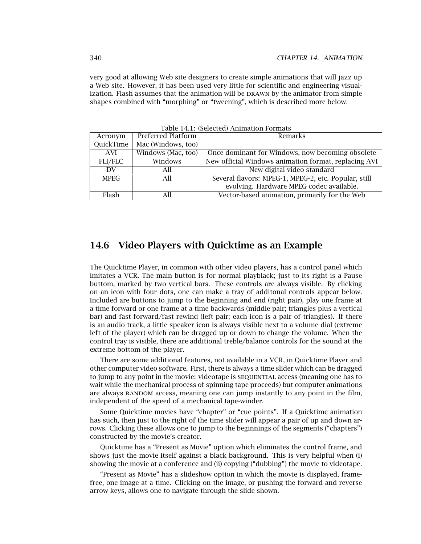very good at allowing Web site designers to create simple animations that will jazz up a Web site. However, it has been used very little for scientific and engineering visualization. Flash assumes that the animation will be DRAWN by the animator from simple shapes combined with "morphing" or "tweening", which is described more below.

| Acronym        | Preferred Platform                                              | Remarks                                              |
|----------------|-----------------------------------------------------------------|------------------------------------------------------|
| QuickTime      | Mac (Windows, too)                                              |                                                      |
| AVI            | Windows (Mac, too)                                              | Once dominant for Windows, now becoming obsolete     |
| <b>FLI/FLC</b> | New official Windows animation format, replacing AVI<br>Windows |                                                      |
| DV             | All                                                             | New digital video standard                           |
| <b>MPEG</b>    | All                                                             | Several flavors: MPEG-1, MPEG-2, etc. Popular, still |
|                |                                                                 | evolving. Hardware MPEG codec available.             |
| Flash          | All                                                             | Vector-based animation, primarily for the Web        |

Table 14.1: (Selected) Animation Formats

#### **14.6 Video Players with Quicktime as an Example**

The Quicktime Player, in common with other video players, has a control panel which imitates a VCR. The main button is for normal playblack; just to its right is a Pause buttom, marked by two vertical bars. These controls are always visible. By clicking on an icon with four dots, one can make a tray of additonal controls appear below. Included are buttons to jump to the beginning and end (right pair), play one frame at a time forward or one frame at a time backwards (middle pair; triangles plus a vertical bar) and fast forward/fast rewind (left pair; each icon is a pair of triangles). If there is an audio track, a little speaker icon is always visible next to a volume dial (extreme left of the player) which can be dragged up or down to change the volume. When the control tray is visible, there are additional treble/balance controls for the sound at the extreme bottom of the player.

There are some additional features, not available in a VCR, in Quicktime Player and other computer video software. First, there is always a time slider which can be dragged to jump to any point in the movie: videotape is sequential access (meaning one has to wait while the mechanical process of spinning tape proceeds) but computer animations are always RANDOM access, meaning one can jump instantly to any point in the film, independent of the speed of a mechanical tape-winder.

Some Quicktime movies have "chapter" or "cue points". If a Quicktime animation has such, then just to the right of the time slider will appear a pair of up and down arrows. Clicking these allows one to jump to the beginnings of the segments ("chapters") constructed by the movie's creator.

Quicktime has a "Present as Movie" option which eliminates the control frame, and shows just the movie itself against a black background. This is very helpful when (i) showing the movie at a conference and (ii) copying ("dubbing") the movie to videotape.

"Present as Movie" has a slideshow option in which the movie is displayed, framefree, one image at a time. Clicking on the image, or pushing the forward and reverse arrow keys, allows one to navigate through the slide shown.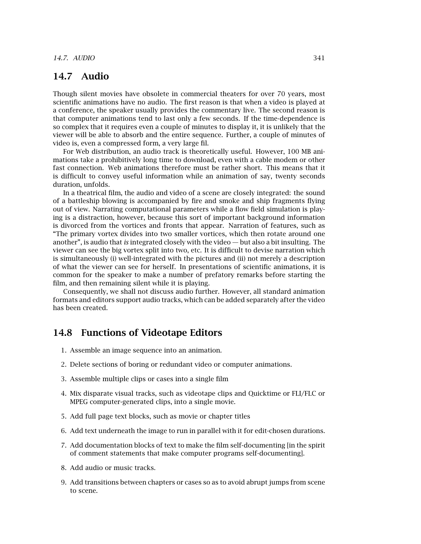#### **14.7 Audio**

Though silent movies have obsolete in commercial theaters for over 70 years, most scientific animations have no audio. The first reason is that when a video is played at a conference, the speaker usually provides the commentary live. The second reason is that computer animations tend to last only a few seconds. If the time-dependence is so complex that it requires even a couple of minutes to display it, it is unlikely that the viewer will be able to absorb and the entire sequence. Further, a couple of minutes of video is, even a compressed form, a very large fil.

For Web distribution, an audio track is theoretically useful. However, 100 MB animations take a prohibitively long time to download, even with a cable modem or other fast connection. Web animations therefore must be rather short. This means that it is difficult to convey useful information while an animation of say, twenty seconds duration, unfolds.

In a theatrical film, the audio and video of a scene are closely integrated: the sound of a battleship blowing is accompanied by fire and smoke and ship fragments flying out of view. Narrating computational parameters while a flow field simulation is playing is a distraction, however, because this sort of important background information is divorced from the vortices and fronts that appear. Narration of features, such as "The primary vortex divides into two smaller vortices, which then rotate around one another", is audio that *is* integrated closely with the video — but also a bit insulting. The viewer can see the big vortex split into two, etc. It is difficult to devise narration which is simultaneously (i) well-integrated with the pictures and (ii) not merely a description of what the viewer can see for herself. In presentations of scientific animations, it is common for the speaker to make a number of prefatory remarks before starting the film, and then remaining silent while it is playing.

Consequently, we shall not discuss audio further. However, all standard animation formats and editors support audio tracks, which can be added separately after the video has been created.

#### **14.8 Functions of Videotape Editors**

- 1. Assemble an image sequence into an animation.
- 2. Delete sections of boring or redundant video or computer animations.
- 3. Assemble multiple clips or cases into a single film
- 4. Mix disparate visual tracks, such as videotape clips and Quicktime or FLI/FLC or MPEG computer-generated clips, into a single movie.
- 5. Add full page text blocks, such as movie or chapter titles
- 6. Add text underneath the image to run in parallel with it for edit-chosen durations.
- 7. Add documentation blocks of text to make the film self-documenting [in the spirit of comment statements that make computer programs self-documenting].
- 8. Add audio or music tracks.
- 9. Add transitions between chapters or cases so as to avoid abrupt jumps from scene to scene.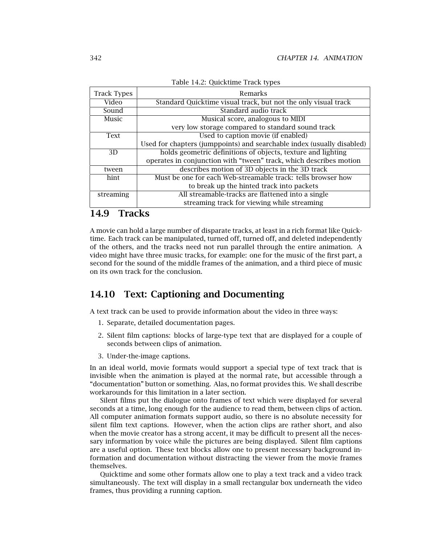| <b>Track Types</b> | Remarks                                                                |  |
|--------------------|------------------------------------------------------------------------|--|
| Video              | Standard Quicktime visual track, but not the only visual track         |  |
| Sound              | Standard audio track                                                   |  |
| Music              | Musical score, analogous to MIDI                                       |  |
|                    | very low storage compared to standard sound track                      |  |
| Text               | Used to caption movie (if enabled)                                     |  |
|                    | Used for chapters (jumppoints) and searchable index (usually disabled) |  |
| 3D                 | holds geometric definitions of objects, texture and lighting           |  |
|                    | operates in conjunction with "tween" track, which describes motion     |  |
| tween              | describes motion of 3D objects in the 3D track                         |  |
| hint               | Must be one for each Web-streamable track: tells browser how           |  |
|                    | to break up the hinted track into packets                              |  |
| streaming          | All streamable-tracks are flattened into a single                      |  |
|                    | streaming track for viewing while streaming                            |  |

Table 14.2: Quicktime Track types

### **14.9 Tracks**

A movie can hold a large number of disparate tracks, at least in a rich format like Quicktime. Each track can be manipulated, turned off, turned off, and deleted independently of the others, and the tracks need not run parallel through the entire animation. A video might have three music tracks, for example: one for the music of the first part, a second for the sound of the middle frames of the animation, and a third piece of music on its own track for the conclusion.

### **14.10 Text: Captioning and Documenting**

A text track can be used to provide information about the video in three ways:

- 1. Separate, detailed documentation pages.
- 2. Silent film captions: blocks of large-type text that are displayed for a couple of seconds between clips of animation.
- 3. Under-the-image captions.

In an ideal world, movie formats would support a special type of text track that is invisible when the animation is played at the normal rate, but accessible through a "documentation" button or something. Alas, no format provides this. We shall describe workarounds for this limitation in a later section.

Silent films put the dialogue onto frames of text which were displayed for several seconds at a time, long enough for the audience to read them, between clips of action. All computer animation formats support audio, so there is no absolute necessity for silent film text captions. However, when the action clips are rather short, and also when the movie creator has a strong accent, it may be difficult to present all the necessary information by voice while the pictures are being displayed. Silent film captions are a useful option. These text blocks allow one to present necessary background information and documentation without distracting the viewer from the movie frames themselves.

Quicktime and some other formats allow one to play a text track and a video track simultaneously. The text will display in a small rectangular box underneath the video frames, thus providing a running caption.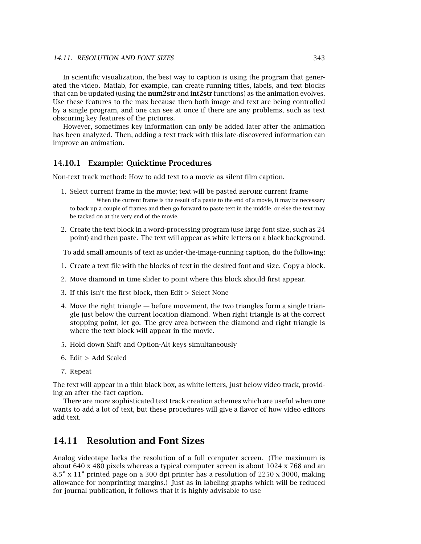In scientific visualization, the best way to caption is using the program that generated the video. Matlab, for example, can create running titles, labels, and text blocks that can be updated (using the **num2str** and **int2str** functions) as the animation evolves. Use these features to the max because then both image and text are being controlled by a single program, and one can see at once if there are any problems, such as text obscuring key features of the pictures.

However, sometimes key information can only be added later after the animation has been analyzed. Then, adding a text track with this late-discovered information can improve an animation.

#### **14.10.1 Example: Quicktime Procedures**

Non-text track method: How to add text to a movie as silent film caption.

- 1. Select current frame in the movie; text will be pasted before current frame When the current frame is the result of a paste to the end of a movie, it may be necessary to back up a couple of frames and then go forward to paste text in the middle, or else the text may be tacked on at the very end of the movie.
- 2. Create the text block in a word-processing program (use large font size, such as 24 point) and then paste. The text will appear as white letters on a black background.

To add small amounts of text as under-the-image-running caption, do the following:

- 1. Create a text file with the blocks of text in the desired font and size. Copy a block.
- 2. Move diamond in time slider to point where this block should first appear.
- 3. If this isn't the first block, then Edit *>* Select None
- 4. Move the right triangle before movement, the two triangles form a single triangle just below the current location diamond. When right triangle is at the correct stopping point, let go. The grey area between the diamond and right triangle is where the text block will appear in the movie.
- 5. Hold down Shift and Option-Alt keys simultaneously
- 6. Edit *>* Add Scaled
- 7. Repeat

The text will appear in a thin black box, as white letters, just below video track, providing an after-the-fact caption.

There are more sophisticated text track creation schemes which are useful when one wants to add a lot of text, but these procedures will give a flavor of how video editors add text.

### **14.11 Resolution and Font Sizes**

Analog videotape lacks the resolution of a full computer screen. (The maximum is about 640 x 480 pixels whereas a typical computer screen is about 1024 x 768 and an 8.5" x 11" printed page on a 300 dpi printer has a resolution of 2250 x 3000, making allowance for nonprinting margins.) Just as in labeling graphs which will be reduced for journal publication, it follows that it is highly advisable to use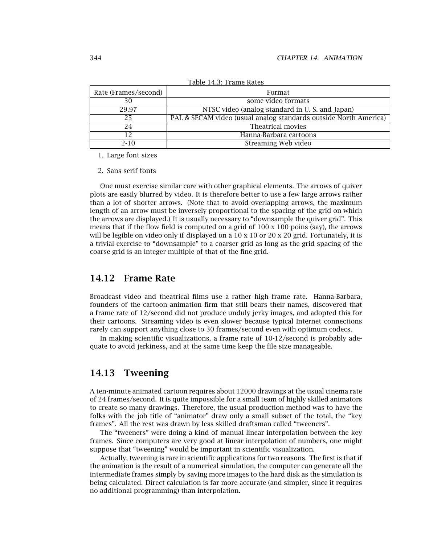| Rate (Frames/second) | Format                                                           |
|----------------------|------------------------------------------------------------------|
| 30                   | some video formats                                               |
| 29.97                | NTSC video (analog standard in U.S. and Japan)                   |
| 25                   | PAL & SECAM video (usual analog standards outside North America) |
| 24                   | Theatrical movies                                                |
|                      | Hanna-Barbara cartoons                                           |
| $2 - 10$             | Streaming Web video                                              |

Table 14.3: Frame Rates

1. Large font sizes

2. Sans serif fonts

One must exercise similar care with other graphical elements. The arrows of quiver plots are easily blurred by video. It is therefore better to use a few large arrows rather than a lot of shorter arrows. (Note that to avoid overlapping arrows, the maximum length of an arrow must be inversely proportional to the spacing of the grid on which the arrows are displayed.) It is usually necessary to "downsample the quiver grid". This means that if the flow field is computed on a grid of  $100 \times 100$  poins (say), the arrows will be legible on video only if displayed on a  $10 \times 10$  or  $20 \times 20$  grid. Fortunately, it is a trivial exercise to "downsample" to a coarser grid as long as the grid spacing of the coarse grid is an integer multiple of that of the fine grid.

#### **14.12 Frame Rate**

Broadcast video and theatrical films use a rather high frame rate. Hanna-Barbara, founders of the cartoon animation firm that still bears their names, discovered that a frame rate of 12/second did not produce unduly jerky images, and adopted this for their cartoons. Streaming video is even slower because typical Internet connections rarely can support anything close to 30 frames/second even with optimum codecs.

In making scientific visualizations, a frame rate of 10-12/second is probably adequate to avoid jerkiness, and at the same time keep the file size manageable.

#### **14.13 Tweening**

A ten-minute animated cartoon requires about 12000 drawings at the usual cinema rate of 24 frames/second. It is quite impossible for a small team of highly skilled animators to create so many drawings. Therefore, the usual production method was to have the folks with the job title of "animator" draw only a small subset of the total, the "key frames". All the rest was drawn by less skilled draftsman called "tweeners".

The "tweeners" were doing a kind of manual linear interpolation between the key frames. Since computers are very good at linear interpolation of numbers, one might suppose that "tweening" would be important in scientific visualization.

Actually, tweening is rare in scientific applications for two reasons. The first is that if the animation is the result of a numerical simulation, the computer can generate all the intermediate frames simply by saving more images to the hard disk as the simulation is being calculated. Direct calculation is far more accurate (and simpler, since it requires no additional programming) than interpolation.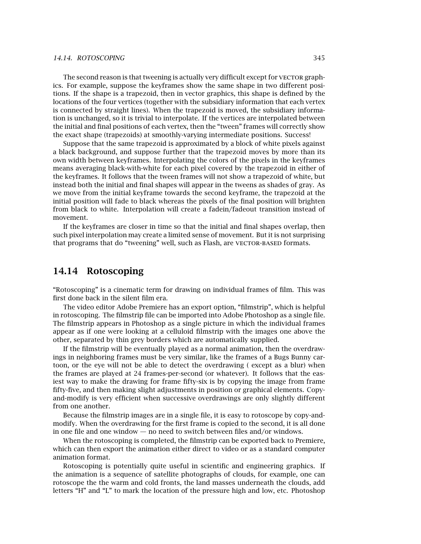#### *14.14. ROTOSCOPING* 345

The second reason is that tweening is actually very difficult except for VECTOR graphics. For example, suppose the keyframes show the same shape in two different positions. If the shape is a trapezoid, then in vector graphics, this shape is defined by the locations of the four vertices (together with the subsidiary information that each vertex is connected by straight lines). When the trapezoid is moved, the subsidiary information is unchanged, so it is trivial to interpolate. If the vertices are interpolated between the initial and final positions of each vertex, then the "tween" frames will correctly show the exact shape (trapezoids) at smoothly-varying intermediate positions. Success!

Suppose that the same trapezoid is approximated by a block of white pixels against a black background, and suppose further that the trapezoid moves by more than its own width between keyframes. Interpolating the colors of the pixels in the keyframes means averaging black-with-white for each pixel covered by the trapezoid in either of the keyframes. It follows that the tween frames will not show a trapezoid of white, but instead both the initial and final shapes will appear in the tweens as shades of gray. As we move from the initial keyframe towards the second keyframe, the trapezoid at the initial position will fade to black whereas the pixels of the final position will brighten from black to white. Interpolation will create a fadein/fadeout transition instead of movement.

If the keyframes are closer in time so that the initial and final shapes overlap, then such pixel interpolation may create a limited sense of movement. But it is not surprising that programs that do "tweening" well, such as Flash, are VECTOR-BASED formats.

#### **14.14 Rotoscoping**

"Rotoscoping" is a cinematic term for drawing on individual frames of film. This was first done back in the silent film era.

The video editor Adobe Premiere has an export option, "filmstrip", which is helpful in rotoscoping. The filmstrip file can be imported into Adobe Photoshop as a single file. The filmstrip appears in Photoshop as a single picture in which the individual frames appear as if one were looking at a celluloid filmstrip with the images one above the other, separated by thin grey borders which are automatically supplied.

If the filmstrip will be eventually played as a normal animation, then the overdrawings in neighboring frames must be very similar, like the frames of a Bugs Bunny cartoon, or the eye will not be able to detect the overdrawing ( except as a blur) when the frames are played at 24 frames-per-second (or whatever). It follows that the easiest way to make the drawing for frame fifty-six is by copying the image from frame fifty-five, and then making slight adjustments in position or graphical elements. Copyand-modify is very efficient when successive overdrawings are only slightly different from one another.

Because the filmstrip images are in a single file, it is easy to rotoscope by copy-andmodify. When the overdrawing for the first frame is copied to the second, it is all done in one file and one window — no need to switch between files and/or windows.

When the rotoscoping is completed, the filmstrip can be exported back to Premiere, which can then export the animation either direct to video or as a standard computer animation format.

Rotoscoping is potentially quite useful in scientific and engineering graphics. If the animation is a sequence of satellite photographs of clouds, for example, one can rotoscope the the warm and cold fronts, the land masses underneath the clouds, add letters "H" and "L" to mark the location of the pressure high and low, etc. Photoshop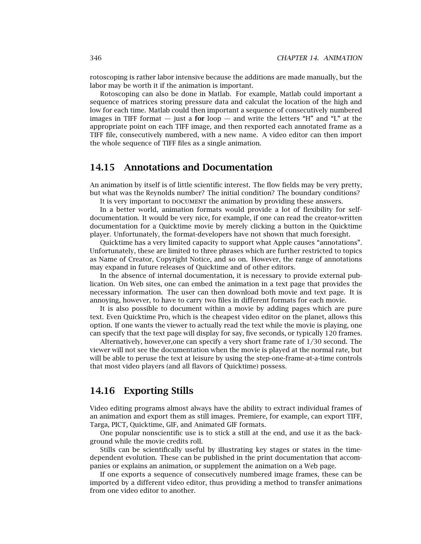rotoscoping is rather labor intensive because the additions are made manually, but the labor may be worth it if the animation is important.

Rotoscoping can also be done in Matlab. For example, Matlab could important a sequence of matrices storing pressure data and calculat the location of the high and low for each time. Matlab could then important a sequence of consecutively numbered images in TIFF format — just a **for** loop — and write the letters "H" and "L" at the appropriate point on each TIFF image, and then rexported each annotated frame as a TIFF file, consecutively numbered, with a new name. A video editor can then import the whole sequence of TIFF files as a single animation.

### **14.15 Annotations and Documentation**

An animation by itself is of little scientific interest. The flow fields may be very pretty, but what was the Reynolds number? The initial condition? The boundary conditions?

It is very important to DOCUMENT the animation by providing these answers.

In a better world, animation formats would provide a lot of flexibility for selfdocumentation. It would be very nice, for example, if one can read the creator-written documentation for a Quicktime movie by merely clicking a button in the Quicktime player. Unfortunately, the format-developers have not shown that much foresight.

Quicktime has a very limited capacity to support what Apple causes "annotations". Unfortunately, these are limited to three phrases which are further restricted to topics as Name of Creator, Copyright Notice, and so on. However, the range of annotations may expand in future releases of Quicktime and of other editors.

In the absence of internal documentation, it is necessary to provide external publication. On Web sites, one can embed the animation in a text page that provides the necessary information. The user can then download both movie and text page. It is annoying, however, to have to carry two files in different formats for each movie.

It is also possible to document within a movie by adding pages which are pure text. Even Quicktime Pro, which is the cheapest video editor on the planet, allows this option. If one wants the viewer to actually read the text while the movie is playing, one can specify that the text page will display for say, five seconds, or typically 120 frames.

Alternatively, however,one can specify a very short frame rate of 1/30 second. The viewer will not see the documentation when the movie is played at the normal rate, but will be able to peruse the text at leisure by using the step-one-frame-at-a-time controls that most video players (and all flavors of Quicktime) possess.

#### **14.16 Exporting Stills**

Video editing programs almost always have the ability to extract individual frames of an animation and export them as still images. Premiere, for example, can export TIFF, Targa, PICT, Quicktime, GIF, and Animated GIF formats.

One popular nonscientific use is to stick a still at the end, and use it as the background while the movie credits roll.

Stills can be scientifically useful by illustrating key stages or states in the timedependent evolution. These can be published in the print documentation that accompanies or explains an animation, or supplement the animation on a Web page.

If one exports a sequence of consecutively numbered image frames, these can be imported by a different video editor, thus providing a method to transfer animations from one video editor to another.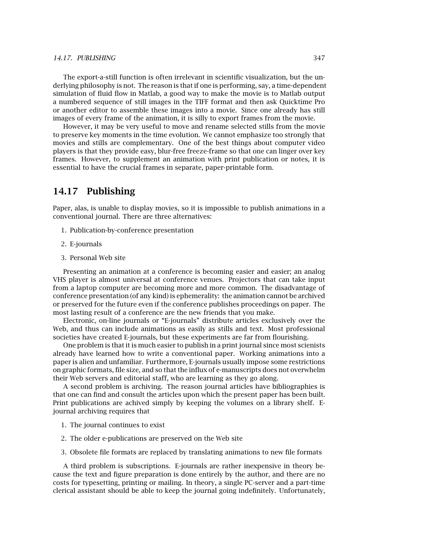#### *14.17. PUBLISHING* 347

The export-a-still function is often irrelevant in scientific visualization, but the underlying philosophy is not. The reason is that if one is performing, say, a time-dependent simulation of fluid flow in Matlab, a good way to make the movie is to Matlab output a numbered sequence of still images in the TIFF format and then ask Quicktime Pro or another editor to assemble these images into a movie. Since one already has still images of every frame of the animation, it is silly to export frames from the movie.

However, it may be very useful to move and rename selected stills from the movie to preserve key moments in the time evolution. We cannot emphasize too strongly that movies and stills are complementary. One of the best things about computer video players is that they provide easy, blur-free freeze-frame so that one can linger over key frames. However, to supplement an animation with print publication or notes, it is essential to have the crucial frames in separate, paper-printable form.

#### **14.17 Publishing**

Paper, alas, is unable to display movies, so it is impossible to publish animations in a conventional journal. There are three alternatives:

- 1. Publication-by-conference presentation
- 2. E-journals
- 3. Personal Web site

Presenting an animation at a conference is becoming easier and easier; an analog VHS player is almost universal at conference venues. Projectors that can take input from a laptop computer are becoming more and more common. The disadvantage of conference presentation (of any kind) is ephemerality: the animation cannot be archived or preserved for the future even if the conference publishes proceedings on paper. The most lasting result of a conference are the new friends that you make.

Electronic, on-line journals or "E-journals" distribute articles exclusively over the Web, and thus can include animations as easily as stills and text. Most professional societies have created E-journals, but these experiments are far from flourishing.

One problem is that it is much easier to publish in a print journal since most scienists already have learned how to write a conventional paper. Working animations into a paper is alien and unfamiliar. Furthermore, E-journals usually impose some restrictions on graphic formats, file size, and so that the influx of e-manuscripts does not overwhelm their Web servers and editorial staff, who are learning as they go along.

A second problem is archiving. The reason journal articles have bibliographies is that one can find and consult the articles upon which the present paper has been built. Print publications are achived simply by keeping the volumes on a library shelf. Ejournal archiving requires that

- 1. The journal continues to exist
- 2. The older e-publications are preserved on the Web site
- 3. Obsolete file formats are replaced by translating animations to new file formats

A third problem is subscriptions. E-journals are rather inexpensive in theory because the text and figure preparation is done entirely by the author, and there are no costs for typesetting, printing or mailing. In theory, a single PC-server and a part-time clerical assistant should be able to keep the journal going indefinitely. Unfortunately,